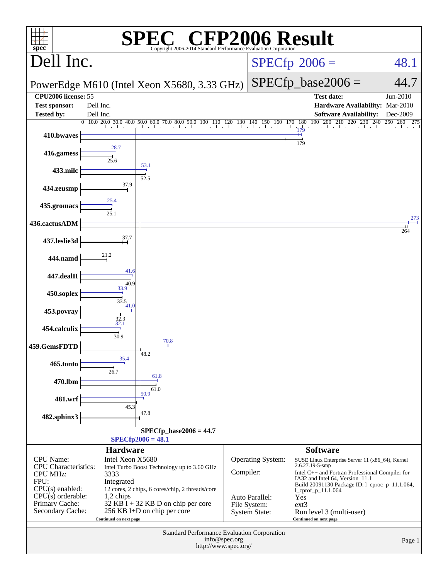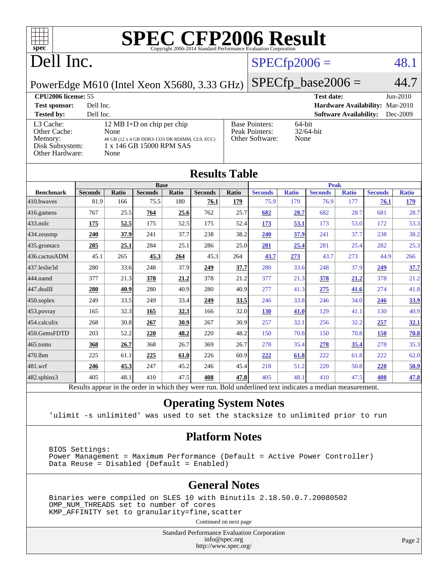

[Peak Pointers:](http://www.spec.org/auto/cpu2006/Docs/result-fields.html#PeakPointers)

[Other Software:](http://www.spec.org/auto/cpu2006/Docs/result-fields.html#OtherSoftware) None

## Dell Inc.

#### $SPECfp2006 = 48.1$  $SPECfp2006 = 48.1$

PowerEdge M610 (Intel Xeon X5680, 3.33 GHz)

 $SPECfp\_base2006 = 44.7$ **[CPU2006 license:](http://www.spec.org/auto/cpu2006/Docs/result-fields.html#CPU2006license)** 55 **[Test date:](http://www.spec.org/auto/cpu2006/Docs/result-fields.html#Testdate)** Jun-2010 **[Test sponsor:](http://www.spec.org/auto/cpu2006/Docs/result-fields.html#Testsponsor)** Dell Inc. **[Hardware Availability:](http://www.spec.org/auto/cpu2006/Docs/result-fields.html#HardwareAvailability)** Mar-2010 **[Tested by:](http://www.spec.org/auto/cpu2006/Docs/result-fields.html#Testedby)** Dell Inc. **[Software Availability:](http://www.spec.org/auto/cpu2006/Docs/result-fields.html#SoftwareAvailability)** Dec-2009 [Base Pointers:](http://www.spec.org/auto/cpu2006/Docs/result-fields.html#BasePointers) 64-bit<br>Peak Pointers: 32/64-bit

| <b>Tested by:</b> | Dell Inc.                                      |
|-------------------|------------------------------------------------|
| L3 Cache:         | 12 MB I+D on chip per chip                     |
| Other Cache:      | None                                           |
| Memory:           | 48 GB (12 x 4 GB DDR3-1333 DR RDIMM, CL9, ECC) |
| Disk Subsystem:   | 1 x 146 GB 15000 RPM SAS                       |
| Other Hardware:   | None                                           |
|                   |                                                |

| <b>Results Table</b> |                |             |                |       |                |             |                |              |                                                                                                          |              |                |              |
|----------------------|----------------|-------------|----------------|-------|----------------|-------------|----------------|--------------|----------------------------------------------------------------------------------------------------------|--------------|----------------|--------------|
|                      |                | <b>Base</b> |                |       |                | <b>Peak</b> |                |              |                                                                                                          |              |                |              |
| <b>Benchmark</b>     | <b>Seconds</b> | Ratio       | <b>Seconds</b> | Ratio | <b>Seconds</b> | Ratio       | <b>Seconds</b> | <b>Ratio</b> | <b>Seconds</b>                                                                                           | <b>Ratio</b> | <b>Seconds</b> | <b>Ratio</b> |
| 410.bwayes           | 81.9           | 166         | 75.5           | 180   | 76.1           | 179         | 75.9           | 179          | 76.9                                                                                                     | 177          | 76.1           | 179          |
| 416.gamess           | 767            | 25.5        | 764            | 25.6  | 762            | 25.7        | 682            | 28.7         | 682                                                                                                      | 28.7         | 681            | 28.7         |
| $433$ .milc          | 175            | 52.5        | 175            | 52.5  | 175            | 52.4        | 173            | 53.1         | 173                                                                                                      | 53.0         | 172            | 53.3         |
| 434.zeusmp           | 240            | 37.9        | 241            | 37.7  | 238            | 38.2        | 240            | 37.9         | 241                                                                                                      | 37.7         | 238            | 38.2         |
| 435 gromacs          | 285            | 25.1        | 284            | 25.1  | 286            | 25.0        | 281            | 25.4         | 281                                                                                                      | 25.4         | 282            | 25.3         |
| 436.cactusADM        | 45.1           | 265         | 45.3           | 264   | 45.3           | 264         | 43.7           | 273          | 43.7                                                                                                     | 273          | 44.9           | 266          |
| 437.leslie3d         | 280            | 33.6        | 248            | 37.9  | 249            | 37.7        | 280            | 33.6         | 248                                                                                                      | 37.9         | 249            | 37.7         |
| 444.namd             | 377            | 21.3        | 378            | 21.2  | 378            | 21.2        | 377            | 21.3         | 378                                                                                                      | 21.2         | 378            | 21.2         |
| 447.dealII           | 280            | 40.9        | 280            | 40.9  | 280            | 40.9        | 277            | 41.3         | 275                                                                                                      | 41.6         | 274            | 41.8         |
| $450$ .soplex        | 249            | 33.5        | 249            | 33.4  | 249            | 33.5        | 246            | 33.8         | 246                                                                                                      | 34.0         | 246            | 33.9         |
| 453.povray           | 165            | 32.3        | 165            | 32.3  | 166            | 32.0        | 130            | 41.0         | 129                                                                                                      | 41.1         | 130            | 40.9         |
| 454.calculix         | 268            | 30.8        | 267            | 30.9  | 267            | 30.9        | 257            | 32.1         | 256                                                                                                      | 32.2         | 257            | 32.1         |
| 459.GemsFDTD         | 203            | 52.2        | 220            | 48.2  | 220            | 48.2        | 150            | 70.8         | 150                                                                                                      | 70.8         | 150            | 70.8         |
| 465.tonto            | 368            | 26.7        | 368            | 26.7  | 369            | 26.7        | 278            | 35.4         | 278                                                                                                      | 35.4         | 278            | 35.3         |
| 470.1bm              | 225            | 61.1        | 225            | 61.0  | 226            | 60.9        | 222            | 61.8         | 222                                                                                                      | 61.8         | 222            | 62.0         |
| 481.wrf              | 246            | 45.3        | 247            | 45.2  | 246            | 45.4        | 218            | 51.2         | 220                                                                                                      | 50.8         | 220            | 50.9         |
| 482.sphinx3          | 405            | 48.1        | 410            | 47.5  | 408            | 47.8        | 405            | 48.1         | 410                                                                                                      | 47.5         | 408            | 47.8         |
|                      |                |             |                |       |                |             |                |              | Results appear in the order in which they were run. Bold underlined text indicates a median measurement. |              |                |              |

#### **[Operating System Notes](http://www.spec.org/auto/cpu2006/Docs/result-fields.html#OperatingSystemNotes)**

'ulimit -s unlimited' was used to set the stacksize to unlimited prior to run

#### **[Platform Notes](http://www.spec.org/auto/cpu2006/Docs/result-fields.html#PlatformNotes)**

 BIOS Settings: Power Management = Maximum Performance (Default = Active Power Controller) Data Reuse = Disabled (Default = Enabled)

#### **[General Notes](http://www.spec.org/auto/cpu2006/Docs/result-fields.html#GeneralNotes)**

 Binaries were compiled on SLES 10 with Binutils 2.18.50.0.7.20080502 OMP\_NUM\_THREADS set to number of cores KMP\_AFFINITY set to granularity=fine,scatter

Continued on next page

Standard Performance Evaluation Corporation [info@spec.org](mailto:info@spec.org) <http://www.spec.org/>

Page 2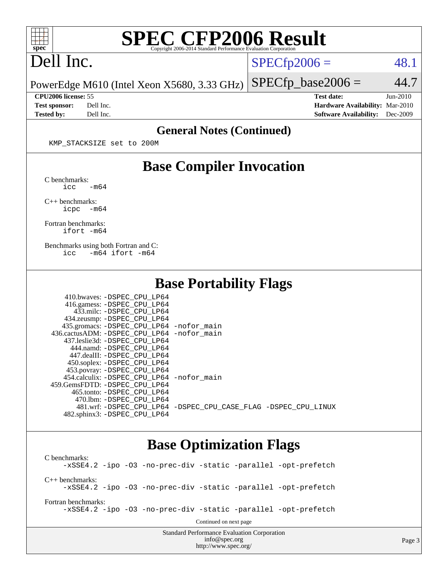

## Dell Inc.

 $SPECTp2006 = 48.1$ 

PowerEdge M610 (Intel Xeon X5680, 3.33 GHz)  $SPECfp\_base2006 = 44.7$ 

**[Tested by:](http://www.spec.org/auto/cpu2006/Docs/result-fields.html#Testedby)** Dell Inc. **[Software Availability:](http://www.spec.org/auto/cpu2006/Docs/result-fields.html#SoftwareAvailability)** Dec-2009

**[CPU2006 license:](http://www.spec.org/auto/cpu2006/Docs/result-fields.html#CPU2006license)** 55 **[Test date:](http://www.spec.org/auto/cpu2006/Docs/result-fields.html#Testdate)** Jun-2010 **[Test sponsor:](http://www.spec.org/auto/cpu2006/Docs/result-fields.html#Testsponsor)** Dell Inc. **[Hardware Availability:](http://www.spec.org/auto/cpu2006/Docs/result-fields.html#HardwareAvailability)** Mar-2010

#### **[General Notes \(Continued\)](http://www.spec.org/auto/cpu2006/Docs/result-fields.html#GeneralNotes)**

KMP\_STACKSIZE set to 200M

#### **[Base Compiler Invocation](http://www.spec.org/auto/cpu2006/Docs/result-fields.html#BaseCompilerInvocation)**

[C benchmarks](http://www.spec.org/auto/cpu2006/Docs/result-fields.html#Cbenchmarks):  $\text{icc}$   $-\text{m64}$ 

[C++ benchmarks:](http://www.spec.org/auto/cpu2006/Docs/result-fields.html#CXXbenchmarks) [icpc -m64](http://www.spec.org/cpu2006/results/res2010q3/cpu2006-20100719-12593.flags.html#user_CXXbase_intel_icpc_64bit_bedb90c1146cab66620883ef4f41a67e)

[Fortran benchmarks](http://www.spec.org/auto/cpu2006/Docs/result-fields.html#Fortranbenchmarks): [ifort -m64](http://www.spec.org/cpu2006/results/res2010q3/cpu2006-20100719-12593.flags.html#user_FCbase_intel_ifort_64bit_ee9d0fb25645d0210d97eb0527dcc06e)

[Benchmarks using both Fortran and C](http://www.spec.org/auto/cpu2006/Docs/result-fields.html#BenchmarksusingbothFortranandC): [icc -m64](http://www.spec.org/cpu2006/results/res2010q3/cpu2006-20100719-12593.flags.html#user_CC_FCbase_intel_icc_64bit_0b7121f5ab7cfabee23d88897260401c) [ifort -m64](http://www.spec.org/cpu2006/results/res2010q3/cpu2006-20100719-12593.flags.html#user_CC_FCbase_intel_ifort_64bit_ee9d0fb25645d0210d97eb0527dcc06e)

#### **[Base Portability Flags](http://www.spec.org/auto/cpu2006/Docs/result-fields.html#BasePortabilityFlags)**

| 410.bwaves: -DSPEC CPU LP64                |                                                                |
|--------------------------------------------|----------------------------------------------------------------|
| 416.gamess: -DSPEC_CPU_LP64                |                                                                |
| 433.milc: -DSPEC CPU LP64                  |                                                                |
| 434.zeusmp: -DSPEC_CPU_LP64                |                                                                |
| 435.gromacs: -DSPEC_CPU_LP64 -nofor_main   |                                                                |
| 436.cactusADM: -DSPEC CPU LP64 -nofor main |                                                                |
| 437.leslie3d: -DSPEC CPU LP64              |                                                                |
| 444.namd: -DSPEC CPU LP64                  |                                                                |
| 447.dealII: -DSPEC CPU LP64                |                                                                |
| 450.soplex: -DSPEC_CPU_LP64                |                                                                |
| 453.povray: -DSPEC_CPU_LP64                |                                                                |
| 454.calculix: -DSPEC CPU LP64 -nofor main  |                                                                |
| 459.GemsFDTD: -DSPEC CPU LP64              |                                                                |
| 465.tonto: - DSPEC CPU LP64                |                                                                |
| 470.1bm: - DSPEC CPU LP64                  |                                                                |
|                                            | 481.wrf: -DSPEC CPU_LP64 -DSPEC_CPU_CASE_FLAG -DSPEC_CPU_LINUX |
| 482.sphinx3: -DSPEC CPU LP64               |                                                                |

#### **[Base Optimization Flags](http://www.spec.org/auto/cpu2006/Docs/result-fields.html#BaseOptimizationFlags)**

[info@spec.org](mailto:info@spec.org) <http://www.spec.org/>

Standard Performance Evaluation Corporation [C benchmarks](http://www.spec.org/auto/cpu2006/Docs/result-fields.html#Cbenchmarks): [-xSSE4.2](http://www.spec.org/cpu2006/results/res2010q3/cpu2006-20100719-12593.flags.html#user_CCbase_f-xSSE42_f91528193cf0b216347adb8b939d4107) [-ipo](http://www.spec.org/cpu2006/results/res2010q3/cpu2006-20100719-12593.flags.html#user_CCbase_f-ipo) [-O3](http://www.spec.org/cpu2006/results/res2010q3/cpu2006-20100719-12593.flags.html#user_CCbase_f-O3) [-no-prec-div](http://www.spec.org/cpu2006/results/res2010q3/cpu2006-20100719-12593.flags.html#user_CCbase_f-no-prec-div) [-static](http://www.spec.org/cpu2006/results/res2010q3/cpu2006-20100719-12593.flags.html#user_CCbase_f-static) [-parallel](http://www.spec.org/cpu2006/results/res2010q3/cpu2006-20100719-12593.flags.html#user_CCbase_f-parallel) [-opt-prefetch](http://www.spec.org/cpu2006/results/res2010q3/cpu2006-20100719-12593.flags.html#user_CCbase_f-opt-prefetch) [C++ benchmarks:](http://www.spec.org/auto/cpu2006/Docs/result-fields.html#CXXbenchmarks) [-xSSE4.2](http://www.spec.org/cpu2006/results/res2010q3/cpu2006-20100719-12593.flags.html#user_CXXbase_f-xSSE42_f91528193cf0b216347adb8b939d4107) [-ipo](http://www.spec.org/cpu2006/results/res2010q3/cpu2006-20100719-12593.flags.html#user_CXXbase_f-ipo) [-O3](http://www.spec.org/cpu2006/results/res2010q3/cpu2006-20100719-12593.flags.html#user_CXXbase_f-O3) [-no-prec-div](http://www.spec.org/cpu2006/results/res2010q3/cpu2006-20100719-12593.flags.html#user_CXXbase_f-no-prec-div) [-static](http://www.spec.org/cpu2006/results/res2010q3/cpu2006-20100719-12593.flags.html#user_CXXbase_f-static) [-parallel](http://www.spec.org/cpu2006/results/res2010q3/cpu2006-20100719-12593.flags.html#user_CXXbase_f-parallel) [-opt-prefetch](http://www.spec.org/cpu2006/results/res2010q3/cpu2006-20100719-12593.flags.html#user_CXXbase_f-opt-prefetch) [Fortran benchmarks](http://www.spec.org/auto/cpu2006/Docs/result-fields.html#Fortranbenchmarks): [-xSSE4.2](http://www.spec.org/cpu2006/results/res2010q3/cpu2006-20100719-12593.flags.html#user_FCbase_f-xSSE42_f91528193cf0b216347adb8b939d4107) [-ipo](http://www.spec.org/cpu2006/results/res2010q3/cpu2006-20100719-12593.flags.html#user_FCbase_f-ipo) [-O3](http://www.spec.org/cpu2006/results/res2010q3/cpu2006-20100719-12593.flags.html#user_FCbase_f-O3) [-no-prec-div](http://www.spec.org/cpu2006/results/res2010q3/cpu2006-20100719-12593.flags.html#user_FCbase_f-no-prec-div) [-static](http://www.spec.org/cpu2006/results/res2010q3/cpu2006-20100719-12593.flags.html#user_FCbase_f-static) [-parallel](http://www.spec.org/cpu2006/results/res2010q3/cpu2006-20100719-12593.flags.html#user_FCbase_f-parallel) [-opt-prefetch](http://www.spec.org/cpu2006/results/res2010q3/cpu2006-20100719-12593.flags.html#user_FCbase_f-opt-prefetch) Continued on next page

Page 3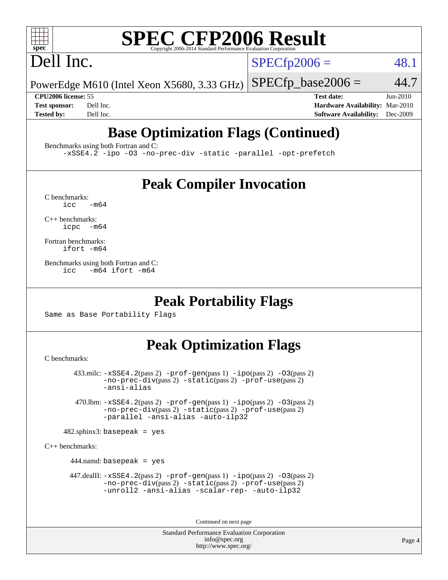## Dell Inc.

 $SPECTp2006 = 48.1$ 

PowerEdge M610 (Intel Xeon X5680, 3.33 GHz)  $SPECTp\_base2006 = 44.7$ 

**[CPU2006 license:](http://www.spec.org/auto/cpu2006/Docs/result-fields.html#CPU2006license)** 55 **[Test date:](http://www.spec.org/auto/cpu2006/Docs/result-fields.html#Testdate)** Jun-2010 **[Test sponsor:](http://www.spec.org/auto/cpu2006/Docs/result-fields.html#Testsponsor)** Dell Inc. **[Hardware Availability:](http://www.spec.org/auto/cpu2006/Docs/result-fields.html#HardwareAvailability)** Mar-2010 **[Tested by:](http://www.spec.org/auto/cpu2006/Docs/result-fields.html#Testedby)** Dell Inc. **[Software Availability:](http://www.spec.org/auto/cpu2006/Docs/result-fields.html#SoftwareAvailability)** Dec-2009

## **[Base Optimization Flags \(Continued\)](http://www.spec.org/auto/cpu2006/Docs/result-fields.html#BaseOptimizationFlags)**

[Benchmarks using both Fortran and C](http://www.spec.org/auto/cpu2006/Docs/result-fields.html#BenchmarksusingbothFortranandC):

[-xSSE4.2](http://www.spec.org/cpu2006/results/res2010q3/cpu2006-20100719-12593.flags.html#user_CC_FCbase_f-xSSE42_f91528193cf0b216347adb8b939d4107) [-ipo](http://www.spec.org/cpu2006/results/res2010q3/cpu2006-20100719-12593.flags.html#user_CC_FCbase_f-ipo) [-O3](http://www.spec.org/cpu2006/results/res2010q3/cpu2006-20100719-12593.flags.html#user_CC_FCbase_f-O3) [-no-prec-div](http://www.spec.org/cpu2006/results/res2010q3/cpu2006-20100719-12593.flags.html#user_CC_FCbase_f-no-prec-div) [-static](http://www.spec.org/cpu2006/results/res2010q3/cpu2006-20100719-12593.flags.html#user_CC_FCbase_f-static) [-parallel](http://www.spec.org/cpu2006/results/res2010q3/cpu2006-20100719-12593.flags.html#user_CC_FCbase_f-parallel) [-opt-prefetch](http://www.spec.org/cpu2006/results/res2010q3/cpu2006-20100719-12593.flags.html#user_CC_FCbase_f-opt-prefetch)

### **[Peak Compiler Invocation](http://www.spec.org/auto/cpu2006/Docs/result-fields.html#PeakCompilerInvocation)**

 $C$  benchmarks:<br>icc  $-m64$ 

[C++ benchmarks:](http://www.spec.org/auto/cpu2006/Docs/result-fields.html#CXXbenchmarks) [icpc -m64](http://www.spec.org/cpu2006/results/res2010q3/cpu2006-20100719-12593.flags.html#user_CXXpeak_intel_icpc_64bit_bedb90c1146cab66620883ef4f41a67e)

[Fortran benchmarks](http://www.spec.org/auto/cpu2006/Docs/result-fields.html#Fortranbenchmarks): [ifort -m64](http://www.spec.org/cpu2006/results/res2010q3/cpu2006-20100719-12593.flags.html#user_FCpeak_intel_ifort_64bit_ee9d0fb25645d0210d97eb0527dcc06e)

[Benchmarks using both Fortran and C](http://www.spec.org/auto/cpu2006/Docs/result-fields.html#BenchmarksusingbothFortranandC): [icc -m64](http://www.spec.org/cpu2006/results/res2010q3/cpu2006-20100719-12593.flags.html#user_CC_FCpeak_intel_icc_64bit_0b7121f5ab7cfabee23d88897260401c) [ifort -m64](http://www.spec.org/cpu2006/results/res2010q3/cpu2006-20100719-12593.flags.html#user_CC_FCpeak_intel_ifort_64bit_ee9d0fb25645d0210d97eb0527dcc06e)

#### **[Peak Portability Flags](http://www.spec.org/auto/cpu2006/Docs/result-fields.html#PeakPortabilityFlags)**

Same as Base Portability Flags

### **[Peak Optimization Flags](http://www.spec.org/auto/cpu2006/Docs/result-fields.html#PeakOptimizationFlags)**

[C benchmarks](http://www.spec.org/auto/cpu2006/Docs/result-fields.html#Cbenchmarks):

 433.milc: [-xSSE4.2](http://www.spec.org/cpu2006/results/res2010q3/cpu2006-20100719-12593.flags.html#user_peakPASS2_CFLAGSPASS2_LDFLAGS433_milc_f-xSSE42_f91528193cf0b216347adb8b939d4107)(pass 2) [-prof-gen](http://www.spec.org/cpu2006/results/res2010q3/cpu2006-20100719-12593.flags.html#user_peakPASS1_CFLAGSPASS1_LDFLAGS433_milc_prof_gen_e43856698f6ca7b7e442dfd80e94a8fc)(pass 1) [-ipo](http://www.spec.org/cpu2006/results/res2010q3/cpu2006-20100719-12593.flags.html#user_peakPASS2_CFLAGSPASS2_LDFLAGS433_milc_f-ipo)(pass 2) [-O3](http://www.spec.org/cpu2006/results/res2010q3/cpu2006-20100719-12593.flags.html#user_peakPASS2_CFLAGSPASS2_LDFLAGS433_milc_f-O3)(pass 2) [-no-prec-div](http://www.spec.org/cpu2006/results/res2010q3/cpu2006-20100719-12593.flags.html#user_peakPASS2_CFLAGSPASS2_LDFLAGS433_milc_f-no-prec-div)(pass 2) [-static](http://www.spec.org/cpu2006/results/res2010q3/cpu2006-20100719-12593.flags.html#user_peakPASS2_CFLAGSPASS2_LDFLAGS433_milc_f-static)(pass 2) [-prof-use](http://www.spec.org/cpu2006/results/res2010q3/cpu2006-20100719-12593.flags.html#user_peakPASS2_CFLAGSPASS2_LDFLAGS433_milc_prof_use_bccf7792157ff70d64e32fe3e1250b55)(pass 2) [-ansi-alias](http://www.spec.org/cpu2006/results/res2010q3/cpu2006-20100719-12593.flags.html#user_peakOPTIMIZE433_milc_f-ansi-alias)

 470.lbm: [-xSSE4.2](http://www.spec.org/cpu2006/results/res2010q3/cpu2006-20100719-12593.flags.html#user_peakPASS2_CFLAGSPASS2_LDFLAGS470_lbm_f-xSSE42_f91528193cf0b216347adb8b939d4107)(pass 2) [-prof-gen](http://www.spec.org/cpu2006/results/res2010q3/cpu2006-20100719-12593.flags.html#user_peakPASS1_CFLAGSPASS1_LDFLAGS470_lbm_prof_gen_e43856698f6ca7b7e442dfd80e94a8fc)(pass 1) [-ipo](http://www.spec.org/cpu2006/results/res2010q3/cpu2006-20100719-12593.flags.html#user_peakPASS2_CFLAGSPASS2_LDFLAGS470_lbm_f-ipo)(pass 2) [-O3](http://www.spec.org/cpu2006/results/res2010q3/cpu2006-20100719-12593.flags.html#user_peakPASS2_CFLAGSPASS2_LDFLAGS470_lbm_f-O3)(pass 2) [-no-prec-div](http://www.spec.org/cpu2006/results/res2010q3/cpu2006-20100719-12593.flags.html#user_peakPASS2_CFLAGSPASS2_LDFLAGS470_lbm_f-no-prec-div)(pass 2) [-static](http://www.spec.org/cpu2006/results/res2010q3/cpu2006-20100719-12593.flags.html#user_peakPASS2_CFLAGSPASS2_LDFLAGS470_lbm_f-static)(pass 2) [-prof-use](http://www.spec.org/cpu2006/results/res2010q3/cpu2006-20100719-12593.flags.html#user_peakPASS2_CFLAGSPASS2_LDFLAGS470_lbm_prof_use_bccf7792157ff70d64e32fe3e1250b55)(pass 2) [-parallel](http://www.spec.org/cpu2006/results/res2010q3/cpu2006-20100719-12593.flags.html#user_peakOPTIMIZE470_lbm_f-parallel) [-ansi-alias](http://www.spec.org/cpu2006/results/res2010q3/cpu2006-20100719-12593.flags.html#user_peakOPTIMIZE470_lbm_f-ansi-alias) [-auto-ilp32](http://www.spec.org/cpu2006/results/res2010q3/cpu2006-20100719-12593.flags.html#user_peakCOPTIMIZE470_lbm_f-auto-ilp32)

 $482$ .sphinx3: basepeak = yes

[C++ benchmarks:](http://www.spec.org/auto/cpu2006/Docs/result-fields.html#CXXbenchmarks)

444.namd: basepeak = yes

 $447$ .dealII:  $-xSSE4$ .  $2(pass 2)$  [-prof-gen](http://www.spec.org/cpu2006/results/res2010q3/cpu2006-20100719-12593.flags.html#user_peakPASS1_CXXFLAGSPASS1_LDFLAGS447_dealII_prof_gen_e43856698f6ca7b7e442dfd80e94a8fc)(pass 1) [-ipo](http://www.spec.org/cpu2006/results/res2010q3/cpu2006-20100719-12593.flags.html#user_peakPASS2_CXXFLAGSPASS2_LDFLAGS447_dealII_f-ipo)(pass 2) -03(pass 2) [-no-prec-div](http://www.spec.org/cpu2006/results/res2010q3/cpu2006-20100719-12593.flags.html#user_peakPASS2_CXXFLAGSPASS2_LDFLAGS447_dealII_f-no-prec-div)(pass 2) [-static](http://www.spec.org/cpu2006/results/res2010q3/cpu2006-20100719-12593.flags.html#user_peakPASS2_CXXFLAGSPASS2_LDFLAGS447_dealII_f-static)(pass 2) [-prof-use](http://www.spec.org/cpu2006/results/res2010q3/cpu2006-20100719-12593.flags.html#user_peakPASS2_CXXFLAGSPASS2_LDFLAGS447_dealII_prof_use_bccf7792157ff70d64e32fe3e1250b55)(pass 2) [-unroll2](http://www.spec.org/cpu2006/results/res2010q3/cpu2006-20100719-12593.flags.html#user_peakOPTIMIZE447_dealII_f-unroll_784dae83bebfb236979b41d2422d7ec2) [-ansi-alias](http://www.spec.org/cpu2006/results/res2010q3/cpu2006-20100719-12593.flags.html#user_peakOPTIMIZE447_dealII_f-ansi-alias) [-scalar-rep-](http://www.spec.org/cpu2006/results/res2010q3/cpu2006-20100719-12593.flags.html#user_peakOPTIMIZE447_dealII_f-disablescalarrep_abbcad04450fb118e4809c81d83c8a1d) [-auto-ilp32](http://www.spec.org/cpu2006/results/res2010q3/cpu2006-20100719-12593.flags.html#user_peakCXXOPTIMIZE447_dealII_f-auto-ilp32)

Continued on next page

Standard Performance Evaluation Corporation [info@spec.org](mailto:info@spec.org) <http://www.spec.org/>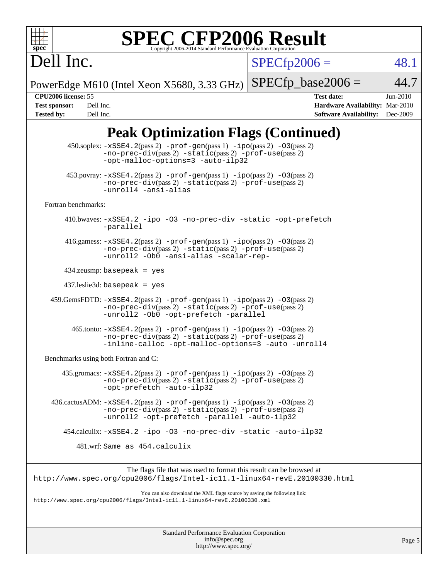Dell Inc.

 $SPECfp2006 = 48.1$  $SPECfp2006 = 48.1$ 

PowerEdge M610 (Intel Xeon X5680, 3.33 GHz)  $SPECfp\_base2006 = 44.7$ 

**[CPU2006 license:](http://www.spec.org/auto/cpu2006/Docs/result-fields.html#CPU2006license)** 55 **[Test date:](http://www.spec.org/auto/cpu2006/Docs/result-fields.html#Testdate)** Jun-2010 **[Test sponsor:](http://www.spec.org/auto/cpu2006/Docs/result-fields.html#Testsponsor)** Dell Inc. **[Hardware Availability:](http://www.spec.org/auto/cpu2006/Docs/result-fields.html#HardwareAvailability)** Mar-2010 **[Tested by:](http://www.spec.org/auto/cpu2006/Docs/result-fields.html#Testedby)** Dell Inc. **[Software Availability:](http://www.spec.org/auto/cpu2006/Docs/result-fields.html#SoftwareAvailability)** Dec-2009

### **[Peak Optimization Flags \(Continued\)](http://www.spec.org/auto/cpu2006/Docs/result-fields.html#PeakOptimizationFlags)**

|                                      | 450.soplex: -xSSE4.2(pass 2) -prof-gen(pass 1) -ipo(pass 2) -03(pass 2)<br>$-no\text{-prec-div}(pass 2)$ $-static(pass 2)$ $-prof\text{-use}(pass 2)$<br>-opt-malloc-options=3 -auto-ilp32       |
|--------------------------------------|--------------------------------------------------------------------------------------------------------------------------------------------------------------------------------------------------|
|                                      | $453.$ povray: $-xSSE4.2(pass2)$ -prof-gen $(pass1)$ -ipo $(pass2)$ -03 $(pass2)$<br>-no-prec-div(pass 2) -static(pass 2) -prof-use(pass 2)<br>-unroll4 -ansi-alias                              |
| Fortran benchmarks:                  |                                                                                                                                                                                                  |
|                                      | 410.bwaves: -xSSE4.2 -ipo -03 -no-prec-div -static -opt-prefetch<br>-parallel                                                                                                                    |
|                                      | 416.gamess: $-xSSE4$ . 2(pass 2) $-prof-gen(pass 1) -ipo(pass 2) -O3(pass 2)$<br>-no-prec-div(pass 2) -static(pass 2) -prof-use(pass 2)<br>-unroll2 -Ob0 -ansi-alias -scalar-rep-                |
|                                      | $434$ .zeusmp: basepeak = yes                                                                                                                                                                    |
|                                      | $437$ .leslie3d: basepeak = yes                                                                                                                                                                  |
|                                      | 459.GemsFDTD: -xSSE4.2(pass 2) -prof-gen(pass 1) -ipo(pass 2) -03(pass 2)<br>-no-prec-div(pass 2) -static(pass 2) -prof-use(pass 2)<br>-unroll2 -Ob0 -opt-prefetch -parallel                     |
|                                      | $465$ .tonto: $-xSSE4$ . 2(pass 2) $-prof-gen(pass 1) -ipo(pass 2) -03(pass 2)$<br>-no-prec-div(pass 2) -static(pass 2) -prof-use(pass 2)<br>-inline-calloc -opt-malloc-options=3 -auto -unroll4 |
| Benchmarks using both Fortran and C: |                                                                                                                                                                                                  |
|                                      | $435$ .gromacs: $-xSSE4$ . 2(pass 2) $-prof-gen(pass 1) -ipo(pass 2) -03(pass 2)$<br>-no-prec-div(pass 2) -static(pass 2) -prof-use(pass 2)<br>-opt-prefetch -auto-ilp32                         |
|                                      | $436.cactusADM: -xSSE4.2(pass 2) -prof-gen(pass 1) -ipo(pass 2) -03(pass 2)$<br>-no-prec-div(pass 2) -static(pass 2) -prof-use(pass 2)<br>-unroll2 -opt-prefetch -parallel -auto-ilp32           |
|                                      | 454.calculix: -xSSE4.2 -ipo -03 -no-prec-div -static -auto-ilp32                                                                                                                                 |
|                                      | 481.wrf: Same as 454.calculix                                                                                                                                                                    |
|                                      | The flags file that was used to format this result can be browsed at<br>http://www.spec.org/cpu2006/flags/Intel-ic11.1-linux64-revE.20100330.html                                                |
|                                      | You can also download the XML flags source by saving the following link:<br>http://www.spec.org/cpu2006/flags/Intel-icll.1-linux64-revE.20100330.xml                                             |
|                                      |                                                                                                                                                                                                  |